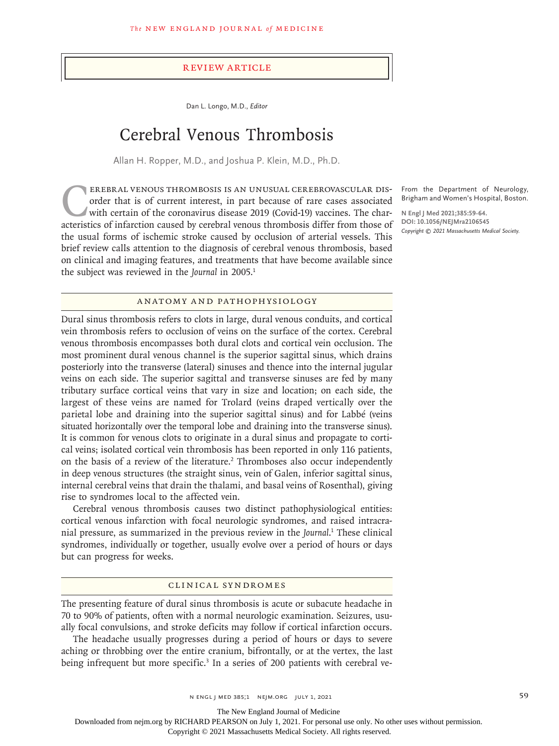#### Review Article

Dan L. Longo, M.D., *Editor*

# Cerebral Venous Thrombosis

Allan H. Ropper, M.D., and Joshua P. Klein, M.D., Ph.D.

EREBRAL VENOUS THROMBOSIS IS AN UNUSUAL CEREBROVASCULAR DIS-<br>order that is of current interest, in part because of rare cases associated<br>with certain of the coronavirus disease 2019 (Covid-19) vaccines. The char-<br>acteristi order that is of current interest, in part because of rare cases associated with certain of the coronavirus disease 2019 (Covid-19) vaccines. The characteristics of infarction caused by cerebral venous thrombosis differ from those of the usual forms of ischemic stroke caused by occlusion of arterial vessels. This brief review calls attention to the diagnosis of cerebral venous thrombosis, based on clinical and imaging features, and treatments that have become available since the subject was reviewed in the *Journal* in 2005.<sup>1</sup>

From the Department of Neurology, Brigham and Women's Hospital, Boston.

**N Engl J Med 2021;385:59-64. DOI: 10.1056/NEJMra2106545** *Copyright © 2021 Massachusetts Medical Society.*

#### Anatomy and Pathophysiology

Dural sinus thrombosis refers to clots in large, dural venous conduits, and cortical vein thrombosis refers to occlusion of veins on the surface of the cortex. Cerebral venous thrombosis encompasses both dural clots and cortical vein occlusion. The most prominent dural venous channel is the superior sagittal sinus, which drains posteriorly into the transverse (lateral) sinuses and thence into the internal jugular veins on each side. The superior sagittal and transverse sinuses are fed by many tributary surface cortical veins that vary in size and location; on each side, the largest of these veins are named for Trolard (veins draped vertically over the parietal lobe and draining into the superior sagittal sinus) and for Labbé (veins situated horizontally over the temporal lobe and draining into the transverse sinus). It is common for venous clots to originate in a dural sinus and propagate to cortical veins; isolated cortical vein thrombosis has been reported in only 116 patients, on the basis of a review of the literature.<sup>2</sup> Thromboses also occur independently in deep venous structures (the straight sinus, vein of Galen, inferior sagittal sinus, internal cerebral veins that drain the thalami, and basal veins of Rosenthal), giving rise to syndromes local to the affected vein.

Cerebral venous thrombosis causes two distinct pathophysiological entities: cortical venous infarction with focal neurologic syndromes, and raised intracranial pressure, as summarized in the previous review in the *Journal*. 1 These clinical syndromes, individually or together, usually evolve over a period of hours or days but can progress for weeks.

#### Clinical Syndromes

The presenting feature of dural sinus thrombosis is acute or subacute headache in 70 to 90% of patients, often with a normal neurologic examination. Seizures, usually focal convulsions, and stroke deficits may follow if cortical infarction occurs.

The headache usually progresses during a period of hours or days to severe aching or throbbing over the entire cranium, bifrontally, or at the vertex, the last being infrequent but more specific.<sup>3</sup> In a series of 200 patients with cerebral ve-

The New England Journal of Medicine

Downloaded from nejm.org by RICHARD PEARSON on July 1, 2021. For personal use only. No other uses without permission.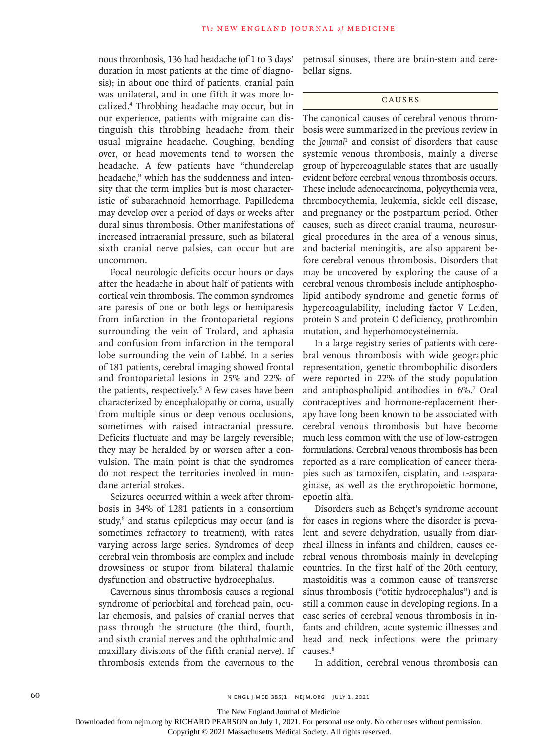nous thrombosis, 136 had headache (of 1 to 3 days' duration in most patients at the time of diagnosis); in about one third of patients, cranial pain was unilateral, and in one fifth it was more localized.4 Throbbing headache may occur, but in our experience, patients with migraine can distinguish this throbbing headache from their usual migraine headache. Coughing, bending over, or head movements tend to worsen the headache. A few patients have "thunderclap headache," which has the suddenness and intensity that the term implies but is most characteristic of subarachnoid hemorrhage. Papilledema may develop over a period of days or weeks after dural sinus thrombosis. Other manifestations of increased intracranial pressure, such as bilateral sixth cranial nerve palsies, can occur but are uncommon.

Focal neurologic deficits occur hours or days after the headache in about half of patients with cortical vein thrombosis. The common syndromes are paresis of one or both legs or hemiparesis from infarction in the frontoparietal regions surrounding the vein of Trolard, and aphasia and confusion from infarction in the temporal lobe surrounding the vein of Labbé. In a series of 181 patients, cerebral imaging showed frontal and frontoparietal lesions in 25% and 22% of the patients, respectively.<sup>5</sup> A few cases have been characterized by encephalopathy or coma, usually from multiple sinus or deep venous occlusions, sometimes with raised intracranial pressure. Deficits fluctuate and may be largely reversible; they may be heralded by or worsen after a convulsion. The main point is that the syndromes do not respect the territories involved in mundane arterial strokes.

Seizures occurred within a week after thrombosis in 34% of 1281 patients in a consortium study,<sup>6</sup> and status epilepticus may occur (and is sometimes refractory to treatment), with rates varying across large series. Syndromes of deep cerebral vein thrombosis are complex and include drowsiness or stupor from bilateral thalamic dysfunction and obstructive hydrocephalus.

Cavernous sinus thrombosis causes a regional syndrome of periorbital and forehead pain, ocular chemosis, and palsies of cranial nerves that pass through the structure (the third, fourth, and sixth cranial nerves and the ophthalmic and maxillary divisions of the fifth cranial nerve). If thrombosis extends from the cavernous to the

petrosal sinuses, there are brain-stem and cerebellar signs.

#### **CAUSES**

The canonical causes of cerebral venous thrombosis were summarized in the previous review in the *Journal*<sup>1</sup> and consist of disorders that cause systemic venous thrombosis, mainly a diverse group of hypercoagulable states that are usually evident before cerebral venous thrombosis occurs. These include adenocarcinoma, polycythemia vera, thrombocythemia, leukemia, sickle cell disease, and pregnancy or the postpartum period. Other causes, such as direct cranial trauma, neurosurgical procedures in the area of a venous sinus, and bacterial meningitis, are also apparent before cerebral venous thrombosis. Disorders that may be uncovered by exploring the cause of a cerebral venous thrombosis include antiphospholipid antibody syndrome and genetic forms of hypercoagulability, including factor V Leiden, protein S and protein C deficiency, prothrombin mutation, and hyperhomocysteinemia.

In a large registry series of patients with cerebral venous thrombosis with wide geographic representation, genetic thrombophilic disorders were reported in 22% of the study population and antiphospholipid antibodies in 6%.7 Oral contraceptives and hormone-replacement therapy have long been known to be associated with cerebral venous thrombosis but have become much less common with the use of low-estrogen formulations. Cerebral venous thrombosis has been reported as a rare complication of cancer therapies such as tamoxifen, cisplatin, and l-asparaginase, as well as the erythropoietic hormone, epoetin alfa.

Disorders such as Behçet's syndrome account for cases in regions where the disorder is prevalent, and severe dehydration, usually from diarrheal illness in infants and children, causes cerebral venous thrombosis mainly in developing countries. In the first half of the 20th century, mastoiditis was a common cause of transverse sinus thrombosis ("otitic hydrocephalus") and is still a common cause in developing regions. In a case series of cerebral venous thrombosis in infants and children, acute systemic illnesses and head and neck infections were the primary causes.8

In addition, cerebral venous thrombosis can

The New England Journal of Medicine

Downloaded from nejm.org by RICHARD PEARSON on July 1, 2021. For personal use only. No other uses without permission.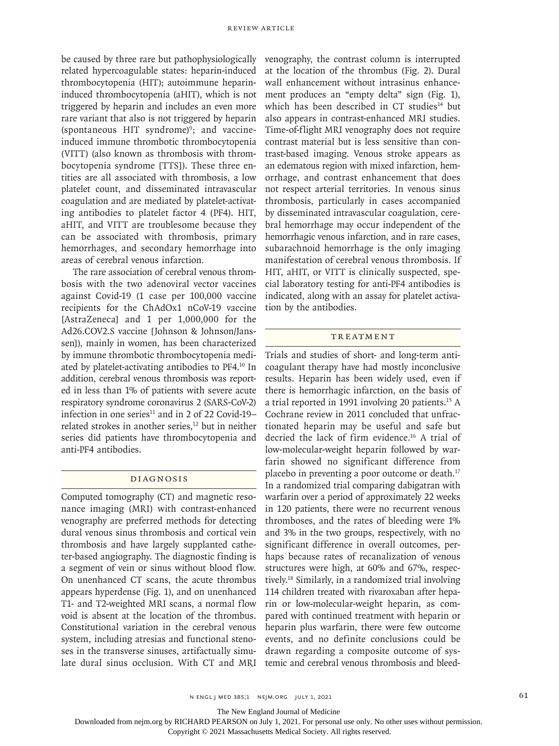be caused by three rare but pathophysiologically related hypercoagulable states: heparin-induced thrombocytopenia (HIT); autoimmune heparininduced thrombocytopenia (aHIT), which is not triggered by heparin and includes an even more rare variant that also is not triggered by heparin (spontaneous HIT syndrome)<sup>9</sup>; and vaccineinduced immune thrombotic thrombocytopenia (VITT) (also known as thrombosis with thrombocytopenia syndrome [TTS]). These three entities are all associated with thrombosis, a low platelet count, and disseminated intravascular coagulation and are mediated by platelet-activating antibodies to platelet factor 4 (PF4). HIT, aHIT, and VITT are troublesome because they can be associated with thrombosis, primary hemorrhages, and secondary hemorrhage into areas of cerebral venous infarction.

The rare association of cerebral venous thrombosis with the two adenoviral vector vaccines against Covid-19 (1 case per 100,000 vaccine recipients for the ChAdOx1 nCoV-19 vaccine [AstraZeneca] and 1 per 1,000,000 for the Ad26.COV2.S vaccine [Johnson & Johnson/Janssen]), mainly in women, has been characterized by immune thrombotic thrombocytopenia mediated by platelet-activating antibodies to PF4.10 In addition, cerebral venous thrombosis was reported in less than 1% of patients with severe acute respiratory syndrome coronavirus 2 (SARS-CoV-2) infection in one series $11$  and in 2 of 22 Covid-19– related strokes in another series,<sup>12</sup> but in neither series did patients have thrombocytopenia and anti-PF4 antibodies.

## Diagnosis

Computed tomography (CT) and magnetic resonance imaging (MRI) with contrast-enhanced venography are preferred methods for detecting dural venous sinus thrombosis and cortical vein thrombosis and have largely supplanted catheter-based angiography. The diagnostic finding is a segment of vein or sinus without blood flow. On unenhanced CT scans, the acute thrombus appears hyperdense (Fig. 1), and on unenhanced T1- and T2-weighted MRI scans, a normal flow void is absent at the location of the thrombus. Constitutional variation in the cerebral venous system, including atresias and functional stenoses in the transverse sinuses, artifactually simulate dural sinus occlusion. With CT and MRI

venography, the contrast column is interrupted at the location of the thrombus (Fig. 2). Dural wall enhancement without intrasinus enhancement produces an "empty delta" sign (Fig. 1), which has been described in CT studies<sup>14</sup> but also appears in contrast-enhanced MRI studies. Time-of-flight MRI venography does not require contrast material but is less sensitive than contrast-based imaging. Venous stroke appears as an edematous region with mixed infarction, hemorrhage, and contrast enhancement that does not respect arterial territories. In venous sinus thrombosis, particularly in cases accompanied by disseminated intravascular coagulation, cerebral hemorrhage may occur independent of the hemorrhagic venous infarction, and in rare cases, subarachnoid hemorrhage is the only imaging manifestation of cerebral venous thrombosis. If HIT, aHIT, or VITT is clinically suspected, special laboratory testing for anti-PF4 antibodies is indicated, along with an assay for platelet activation by the antibodies.

#### **TREATMENT**

Trials and studies of short- and long-term anticoagulant therapy have had mostly inconclusive results. Heparin has been widely used, even if there is hemorrhagic infarction, on the basis of a trial reported in 1991 involving 20 patients.15 A Cochrane review in 2011 concluded that unfractionated heparin may be useful and safe but decried the lack of firm evidence.16 A trial of low-molecular-weight heparin followed by warfarin showed no significant difference from placebo in preventing a poor outcome or death.17 In a randomized trial comparing dabigatran with warfarin over a period of approximately 22 weeks in 120 patients, there were no recurrent venous thromboses, and the rates of bleeding were 1% and 3% in the two groups, respectively, with no significant difference in overall outcomes, perhaps because rates of recanalization of venous structures were high, at 60% and 67%, respectively.18 Similarly, in a randomized trial involving 114 children treated with rivaroxaban after heparin or low-molecular-weight heparin, as compared with continued treatment with heparin or heparin plus warfarin, there were few outcome events, and no definite conclusions could be drawn regarding a composite outcome of systemic and cerebral venous thrombosis and bleed-

n engl j med 385;1 nejm.org July 1, 2021 61

The New England Journal of Medicine

Downloaded from nejm.org by RICHARD PEARSON on July 1, 2021. For personal use only. No other uses without permission.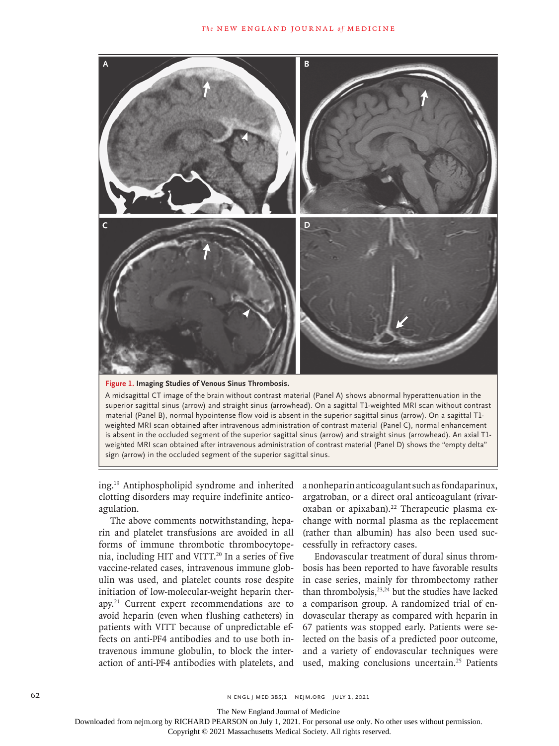



A midsagittal CT image of the brain without contrast material (Panel A) shows abnormal hyperattenuation in the superior sagittal sinus (arrow) and straight sinus (arrowhead). On a sagittal T1-weighted MRI scan without contrast material (Panel B), normal hypointense flow void is absent in the superior sagittal sinus (arrow). On a sagittal T1 weighted MRI scan obtained after intravenous administration of contrast material (Panel C), normal enhancement is absent in the occluded segment of the superior sagittal sinus (arrow) and straight sinus (arrowhead). An axial T1 weighted MRI scan obtained after intravenous administration of contrast material (Panel D) shows the "empty delta" sign (arrow) in the occluded segment of the superior sagittal sinus.

ing.19 Antiphospholipid syndrome and inherited clotting disorders may require indefinite anticoagulation.

The above comments notwithstanding, heparin and platelet transfusions are avoided in all forms of immune thrombotic thrombocytopenia, including HIT and VITT.<sup>20</sup> In a series of five vaccine-related cases, intravenous immune globulin was used, and platelet counts rose despite initiation of low-molecular-weight heparin therapy.21 Current expert recommendations are to avoid heparin (even when flushing catheters) in patients with VITT because of unpredictable effects on anti-PF4 antibodies and to use both intravenous immune globulin, to block the interaction of anti-PF4 antibodies with platelets, and a nonheparin anticoagulant such as fondaparinux, argatroban, or a direct oral anticoagulant (rivaroxaban or apixaban).<sup>22</sup> Therapeutic plasma exchange with normal plasma as the replacement (rather than albumin) has also been used successfully in refractory cases.

Endovascular treatment of dural sinus thrombosis has been reported to have favorable results in case series, mainly for thrombectomy rather than thrombolysis,<sup>23,24</sup> but the studies have lacked a comparison group. A randomized trial of endovascular therapy as compared with heparin in 67 patients was stopped early. Patients were selected on the basis of a predicted poor outcome, and a variety of endovascular techniques were used, making conclusions uncertain.<sup>25</sup> Patients

The New England Journal of Medicine

Downloaded from nejm.org by RICHARD PEARSON on July 1, 2021. For personal use only. No other uses without permission.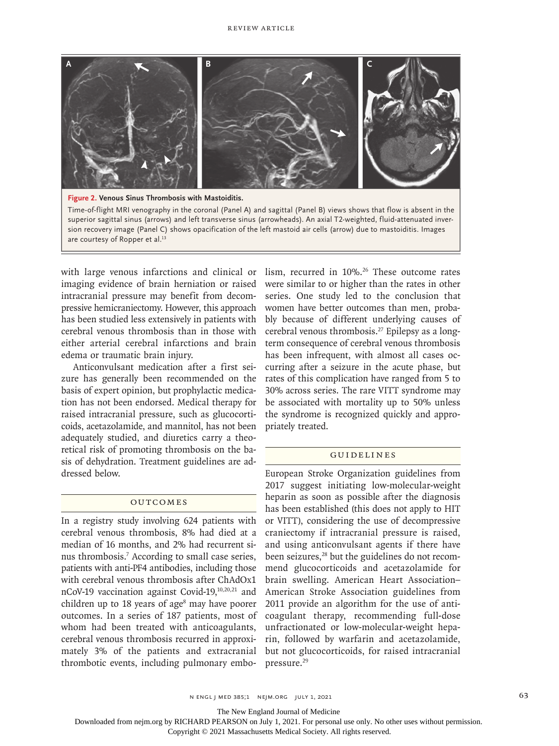

Time-of-flight MRI venography in the coronal (Panel A) and sagittal (Panel B) views shows that flow is absent in the superior sagittal sinus (arrows) and left transverse sinus (arrowheads). An axial T2-weighted, fluid-attenuated inversion recovery image (Panel C) shows opacification of the left mastoid air cells (arrow) due to mastoiditis. Images are courtesy of Ropper et al.<sup>13</sup>

with large venous infarctions and clinical or lism, recurred in 10%.<sup>26</sup> These outcome rates imaging evidence of brain herniation or raised intracranial pressure may benefit from decompressive hemicraniectomy. However, this approach has been studied less extensively in patients with cerebral venous thrombosis than in those with either arterial cerebral infarctions and brain edema or traumatic brain injury.

Anticonvulsant medication after a first seizure has generally been recommended on the basis of expert opinion, but prophylactic medication has not been endorsed. Medical therapy for raised intracranial pressure, such as glucocorticoids, acetazolamide, and mannitol, has not been adequately studied, and diuretics carry a theoretical risk of promoting thrombosis on the basis of dehydration. Treatment guidelines are addressed below.

### **OUTCOMES**

In a registry study involving 624 patients with cerebral venous thrombosis, 8% had died at a median of 16 months, and 2% had recurrent sinus thrombosis.7 According to small case series, patients with anti-PF4 antibodies, including those with cerebral venous thrombosis after ChAdOx1 nCoV-19 vaccination against Covid-19,10,20,21 and children up to 18 years of age<sup>8</sup> may have poorer outcomes. In a series of 187 patients, most of whom had been treated with anticoagulants, cerebral venous thrombosis recurred in approximately 3% of the patients and extracranial thrombotic events, including pulmonary embo-

were similar to or higher than the rates in other series. One study led to the conclusion that women have better outcomes than men, probably because of different underlying causes of cerebral venous thrombosis.27 Epilepsy as a longterm consequence of cerebral venous thrombosis has been infrequent, with almost all cases occurring after a seizure in the acute phase, but rates of this complication have ranged from 5 to 30% across series. The rare VITT syndrome may be associated with mortality up to 50% unless the syndrome is recognized quickly and appropriately treated.

### Guidelines

European Stroke Organization guidelines from 2017 suggest initiating low-molecular-weight heparin as soon as possible after the diagnosis has been established (this does not apply to HIT or VITT), considering the use of decompressive craniectomy if intracranial pressure is raised, and using anticonvulsant agents if there have been seizures,<sup>28</sup> but the guidelines do not recommend glucocorticoids and acetazolamide for brain swelling. American Heart Association– American Stroke Association guidelines from 2011 provide an algorithm for the use of anticoagulant therapy, recommending full-dose unfractionated or low-molecular-weight heparin, followed by warfarin and acetazolamide, but not glucocorticoids, for raised intracranial pressure.29

The New England Journal of Medicine

Downloaded from nejm.org by RICHARD PEARSON on July 1, 2021. For personal use only. No other uses without permission.